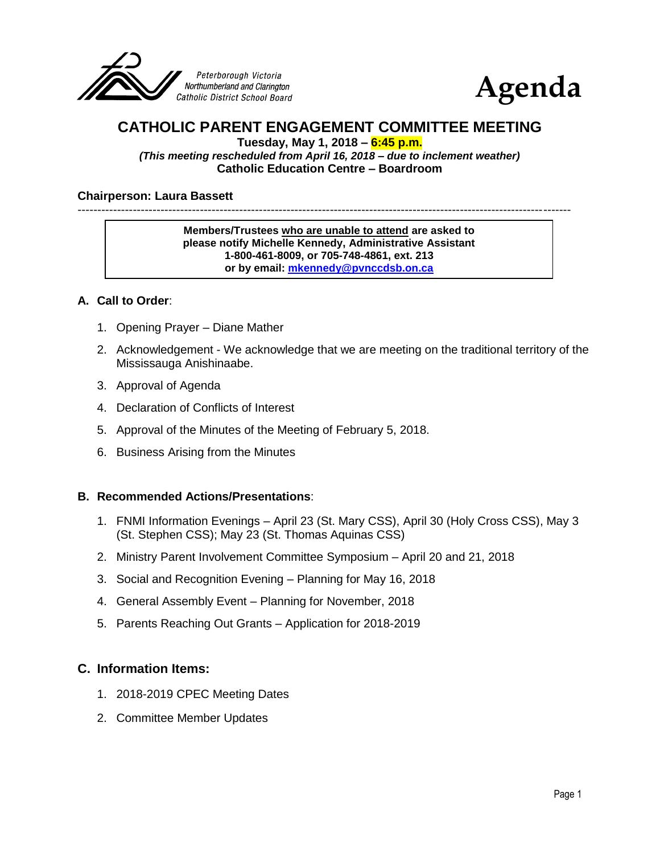



# **CATHOLIC PARENT ENGAGEMENT COMMITTEE MEETING**

**Tuesday, May 1, 2018 – 6:45 p.m.**

*(This meeting rescheduled from April 16, 2018 – due to inclement weather)* **Catholic Education Centre – Boardroom**

#### **Chairperson: Laura Bassett**

-----------------------------------------------------------------------------------------------------------------------------

#### **Members/Trustees who are unable to attend are asked to please notify Michelle Kennedy, Administrative Assistant 1-800-461-8009, or 705-748-4861, ext. 213 or by email: [mkennedy@pvnccdsb.on.ca](mailto:mkennedy@pvnccdsb.on.ca)**

## **A. Call to Order**:

- 1. Opening Prayer Diane Mather
- 2. Acknowledgement We acknowledge that we are meeting on the traditional territory of the Mississauga Anishinaabe.
- 3. Approval of Agenda
- 4. Declaration of Conflicts of Interest
- 5. Approval of the Minutes of the Meeting of February 5, 2018.
- 6. Business Arising from the Minutes

#### **B. Recommended Actions/Presentations**:

- 1. FNMI Information Evenings April 23 (St. Mary CSS), April 30 (Holy Cross CSS), May 3 (St. Stephen CSS); May 23 (St. Thomas Aquinas CSS)
- 2. Ministry Parent Involvement Committee Symposium April 20 and 21, 2018
- 3. Social and Recognition Evening Planning for May 16, 2018
- 4. General Assembly Event Planning for November, 2018
- 5. Parents Reaching Out Grants Application for 2018-2019

## **C. Information Items:**

- 1. 2018-2019 CPEC Meeting Dates
- 2. Committee Member Updates